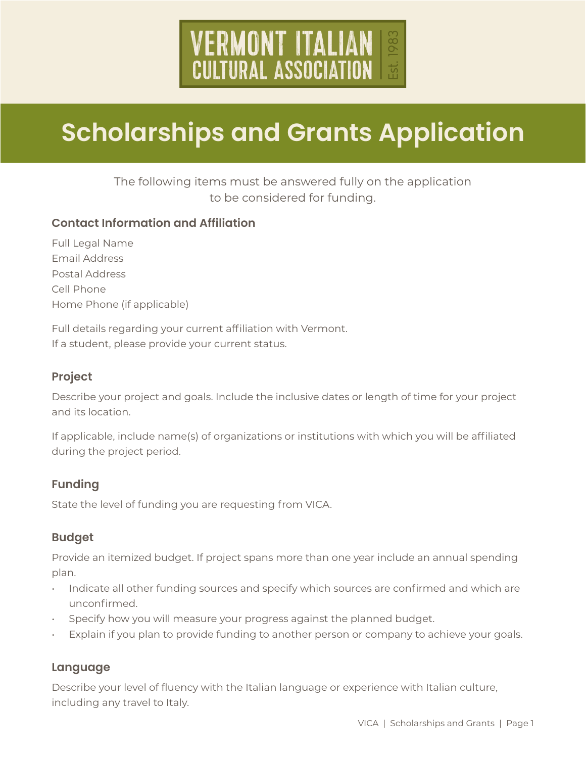# **VERMONT ITALIAN<br>CULTURAL ASSOCIATION**

# **Scholarships and Grants Application**

# The following items must be answered fully on the application to be considered for funding.

## **Contact Information and Affiliation**

Full Legal Name Email Address Postal Address Cell Phone Home Phone (if applicable)

Full details regarding your current affiliation with Vermont. If a student, please provide your current status.

### **Project**

Describe your project and goals. Include the inclusive dates or length of time for your project and its location.

If applicable, include name(s) of organizations or institutions with which you will be affiliated during the project period.

## **Funding**

State the level of funding you are requesting from VICA.

### **Budget**

Provide an itemized budget. If project spans more than one year include an annual spending plan.

- Indicate all other funding sources and specify which sources are confirmed and which are unconfirmed.
- Specify how you will measure your progress against the planned budget.
- Explain if you plan to provide funding to another person or company to achieve your goals.

## **Language**

Describe your level of fluency with the Italian language or experience with Italian culture, including any travel to Italy.